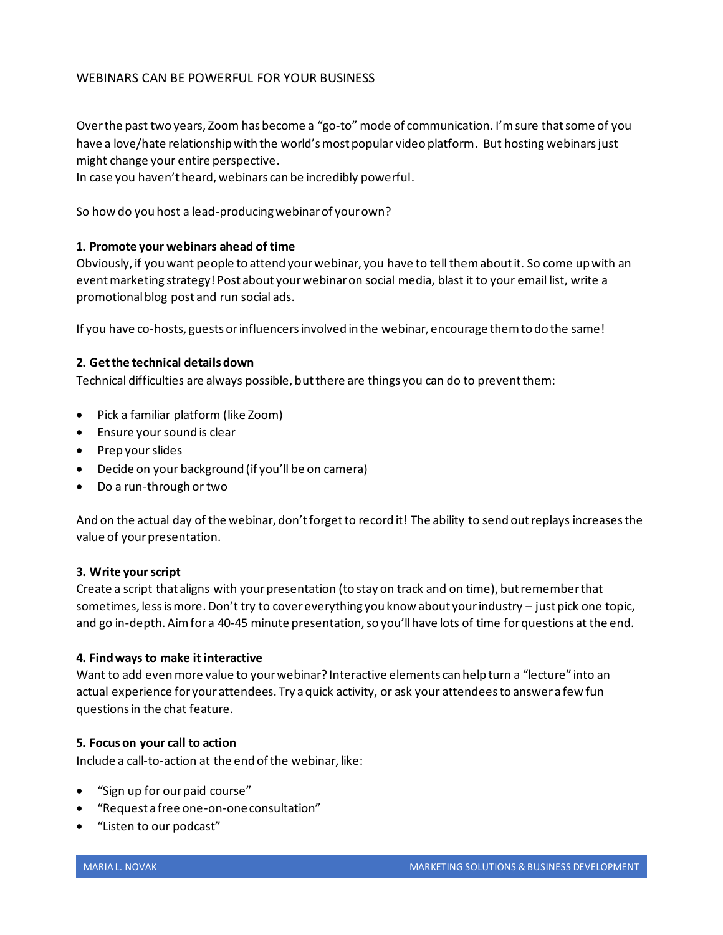# WEBINARS CAN BE POWERFUL FOR YOUR BUSINESS

Over the past two years, Zoom has become a "go-to" mode of communication. I'm sure that some of you have a love/hate relationship with the world's most popular video platform. But hosting webinars just might change your entire perspective.

In case you haven't heard, webinars can be incredibly powerful.

So how do you host a lead-producing webinar of your own?

## **1. Promote your webinars ahead of time**

Obviously, if you want people to attend your webinar, you have to tell them about it. So come up with an event marketing strategy! Post about your webinar on social media, blast it to your email list, write a promotional blog post and run social ads.

If you have co-hosts, guests or influencers involved in the webinar, encourage them to do the same!

## **2. Get the technical details down**

Technical difficulties are always possible, but there are things you can do to prevent them:

- Pick a familiar platform (like Zoom)
- Ensure your sound is clear
- Prep your slides
- Decide on your background (if you'll be on camera)
- Do a run-through or two

And on the actual day of the webinar, don't forget to record it! The ability to send out replays increases the value of your presentation.

#### **3. Write your script**

Create a script that aligns with your presentation (to stay on track and on time), but remember that sometimes, less is more. Don't try to cover everything you know about your industry – just pick one topic, and go in-depth. Aim for a 40-45 minute presentation, so you'll have lots of time for questions at the end.

#### **4. Find ways to make it interactive**

Want to add even more value to your webinar? Interactive elements can help turn a "lecture" into an actual experience for your attendees. Try a quick activity, or ask your attendees to answer a few fun questions in the chat feature.

#### **5. Focus on your call to action**

Include a call-to-action at the end of the webinar, like:

- "Sign up for our paid course"
- "Request a free one-on-one consultation"
- "Listen to our podcast"